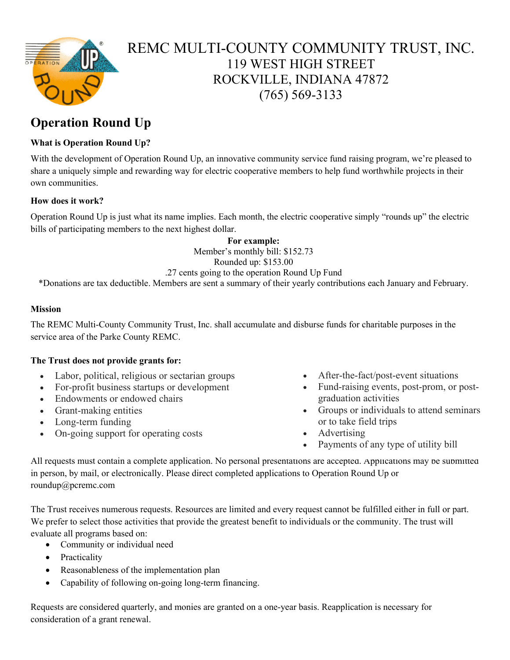

## REMC MULTI-COUNTY COMMUNITY TRUST, INC. 119 WEST HIGH STREET ROCKVILLE, INDIANA 47872 (765) 569-3133

## **Operation Round Up**

#### **What is Operation Round Up?**

With the development of Operation Round Up, an innovative community service fund raising program, we're pleased to share a uniquely simple and rewarding way for electric cooperative members to help fund worthwhile projects in their own communities.

#### **How does it work?**

Operation Round Up is just what its name implies. Each month, the electric cooperative simply "rounds up" the electric bills of participating members to the next highest dollar.

> **For example:** Member's monthly bill: \$152.73 Rounded up: \$153.00

#### .27 cents going to the operation Round Up Fund

\*Donations are tax deductible. Members are sent a summary of their yearly contributions each January and February.

#### **Mission**

The REMC Multi-County Community Trust, Inc. shall accumulate and disburse funds for charitable purposes in the service area of the Parke County REMC.

#### **The Trust does not provide grants for:**

- Labor, political, religious or sectarian groups
- For-profit business startups or development
- Endowments or endowed chairs
- Grant-making entities
- Long-term funding
- On-going support for operating costs
- After-the-fact/post-event situations
- Fund-raising events, post-prom, or postgraduation activities
- Groups or individuals to attend seminars or to take field trips
- Advertising
- Payments of any type of utility bill

All requests must contain a complete application. No personal presentations are accepted. Applications may be submitted [in person, by mail, or electronically. Please direct completed applications to](mailto:mcooper@pcremc.com) Operation Round Up or roundup@pcremc.com

The Trust receives numerous requests. Resources are limited and every request cannot be fulfilled either in full or part. We prefer to select those activities that provide the greatest benefit to individuals or the community. The trust will evaluate all programs based on:

- Community or individual need
- Practicality
- Reasonableness of the implementation plan
- Capability of following on-going long-term financing.

Requests are considered quarterly, and monies are granted on a one-year basis. Reapplication is necessary for consideration of a grant renewal.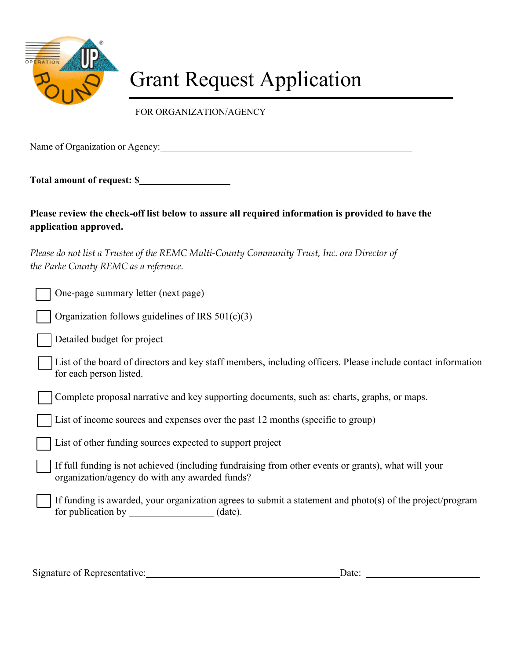

# Grant Request Application

FOR ORGANIZATION/AGENCY

Name of Organization or Agency: 1986. The Contractor of Organization or Agency:

**Total amount of request: \$** 

**Please review the check-off list below to assure all required information is provided to have the application approved.** 

Please do not list a Trustee of the REMC Multi-County Community Trust, Inc. ora Director of *the Parke County REMC as a reference.*

| One-page summary letter (next page)                                                                                                                   |
|-------------------------------------------------------------------------------------------------------------------------------------------------------|
| Organization follows guidelines of IRS $501(c)(3)$                                                                                                    |
| Detailed budget for project                                                                                                                           |
| List of the board of directors and key staff members, including officers. Please include contact information<br>for each person listed.               |
| Complete proposal narrative and key supporting documents, such as: charts, graphs, or maps.                                                           |
| List of income sources and expenses over the past 12 months (specific to group)                                                                       |
| List of other funding sources expected to support project                                                                                             |
| If full funding is not achieved (including fundraising from other events or grants), what will your<br>organization/agency do with any awarded funds? |
| If funding is awarded, your organization agrees to submit a statement and photo(s) of the project/program<br>for publication by (date).               |
|                                                                                                                                                       |

Signature of Representative: Date: Date: